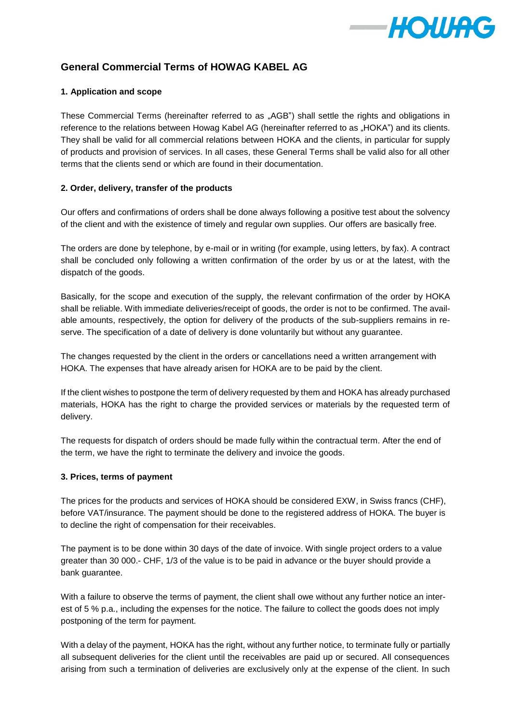

# **General Commercial Terms of HOWAG KABEL AG**

# **1. Application and scope**

These Commercial Terms (hereinafter referred to as "AGB") shall settle the rights and obligations in reference to the relations between Howag Kabel AG (hereinafter referred to as "HOKA") and its clients. They shall be valid for all commercial relations between HOKA and the clients, in particular for supply of products and provision of services. In all cases, these General Terms shall be valid also for all other terms that the clients send or which are found in their documentation.

# **2. Order, delivery, transfer of the products**

Our offers and confirmations of orders shall be done always following a positive test about the solvency of the client and with the existence of timely and regular own supplies. Our offers are basically free.

The orders are done by telephone, by e-mail or in writing (for example, using letters, by fax). A contract shall be concluded only following a written confirmation of the order by us or at the latest, with the dispatch of the goods.

Basically, for the scope and execution of the supply, the relevant confirmation of the order by HOKA shall be reliable. With immediate deliveries/receipt of goods, the order is not to be confirmed. The available amounts, respectively, the option for delivery of the products of the sub-suppliers remains in reserve. The specification of a date of delivery is done voluntarily but without any guarantee.

The changes requested by the client in the orders or cancellations need a written arrangement with HOKA. The expenses that have already arisen for HOKA are to be paid by the client.

If the client wishes to postpone the term of delivery requested by them and HOKA has already purchased materials, HOKA has the right to charge the provided services or materials by the requested term of delivery.

The requests for dispatch of orders should be made fully within the contractual term. After the end of the term, we have the right to terminate the delivery and invoice the goods.

#### **3. Prices, terms of payment**

The prices for the products and services of HOKA should be considered EXW, in Swiss francs (CHF), before VAT/insurance. The payment should be done to the registered address of HOKA. The buyer is to decline the right of compensation for their receivables.

The payment is to be done within 30 days of the date of invoice. With single project orders to a value greater than 30 000.- CHF, 1/3 of the value is to be paid in advance or the buyer should provide a bank guarantee.

With a failure to observe the terms of payment, the client shall owe without any further notice an interest of 5 % p.a., including the expenses for the notice. The failure to collect the goods does not imply postponing of the term for payment.

With a delay of the payment, HOKA has the right, without any further notice, to terminate fully or partially all subsequent deliveries for the client until the receivables are paid up or secured. All consequences arising from such a termination of deliveries are exclusively only at the expense of the client. In such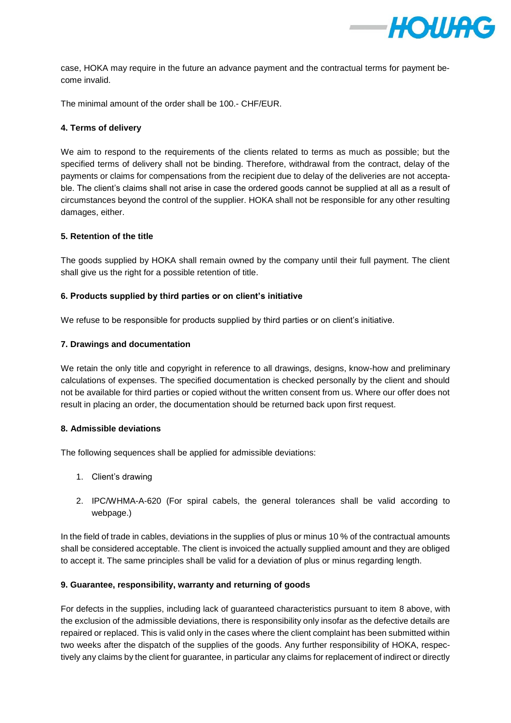

case, HOKA may require in the future an advance payment and the contractual terms for payment become invalid.

The minimal amount of the order shall be 100.- CHF/EUR.

# **4. Terms of delivery**

We aim to respond to the requirements of the clients related to terms as much as possible; but the specified terms of delivery shall not be binding. Therefore, withdrawal from the contract, delay of the payments or claims for compensations from the recipient due to delay of the deliveries are not acceptable. The client's claims shall not arise in case the ordered goods cannot be supplied at all as a result of circumstances beyond the control of the supplier. HOKA shall not be responsible for any other resulting damages, either.

# **5. Retention of the title**

The goods supplied by HOKA shall remain owned by the company until their full payment. The client shall give us the right for a possible retention of title.

# **6. Products supplied by third parties or on client's initiative**

We refuse to be responsible for products supplied by third parties or on client's initiative.

# **7. Drawings and documentation**

We retain the only title and copyright in reference to all drawings, designs, know-how and preliminary calculations of expenses. The specified documentation is checked personally by the client and should not be available for third parties or copied without the written consent from us. Where our offer does not result in placing an order, the documentation should be returned back upon first request.

#### **8. Admissible deviations**

The following sequences shall be applied for admissible deviations:

- 1. Client's drawing
- 2. IPC/WHMA-A-620 (For spiral cabels, the general tolerances shall be valid according to webpage.)

In the field of trade in cables, deviations in the supplies of plus or minus 10 % of the contractual amounts shall be considered acceptable. The client is invoiced the actually supplied amount and they are obliged to accept it. The same principles shall be valid for a deviation of plus or minus regarding length.

#### **9. Guarantee, responsibility, warranty and returning of goods**

For defects in the supplies, including lack of guaranteed characteristics pursuant to item 8 above, with the exclusion of the admissible deviations, there is responsibility only insofar as the defective details are repaired or replaced. This is valid only in the cases where the client complaint has been submitted within two weeks after the dispatch of the supplies of the goods. Any further responsibility of HOKA, respectively any claims by the client for guarantee, in particular any claims for replacement of indirect or directly